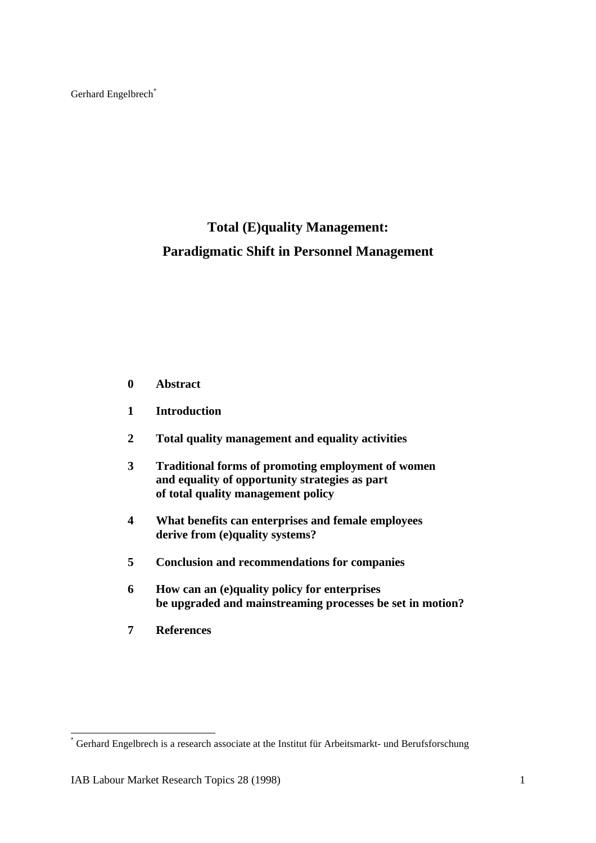Gerhard Engelbrech<sup>\*</sup>

# **Total (E)quality Management: Paradigmatic Shift in Personnel Management**

- **0 Abstract**
- **1 Introduction**
- **2 Total quality management and equality activities**
- **3 Traditional forms of promoting employment of women and equality of opportunity strategies as part of total quality management policy**
- **4 What benefits can enterprises and female employees derive from (e)quality systems?**
- **5 Conclusion and recommendations for companies**
- **6 How can an (e)quality policy for enterprises be upgraded and mainstreaming processes be set in motion?**
- **7 References**

<sup>\*&</sup>lt;br>The Institut für Arbeitsmarkt- und Berufsforschung<br>Gerhard Engelbrech is a research associate at the Institut für Arbeitsmarkt- und Berufsforschung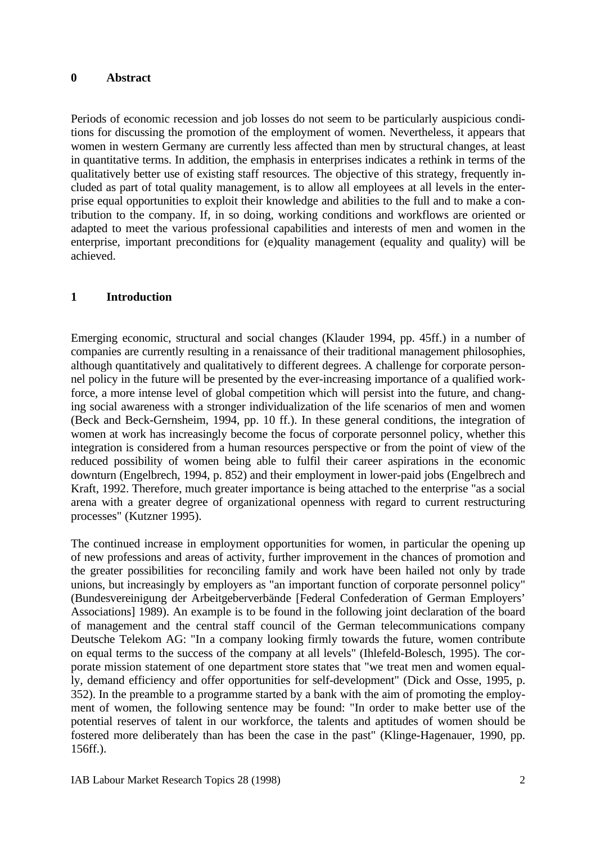#### **0 Abstract**

Periods of economic recession and job losses do not seem to be particularly auspicious conditions for discussing the promotion of the employment of women. Nevertheless, it appears that women in western Germany are currently less affected than men by structural changes, at least in quantitative terms. In addition, the emphasis in enterprises indicates a rethink in terms of the qualitatively better use of existing staff resources. The objective of this strategy, frequently included as part of total quality management, is to allow all employees at all levels in the enterprise equal opportunities to exploit their knowledge and abilities to the full and to make a contribution to the company. If, in so doing, working conditions and workflows are oriented or adapted to meet the various professional capabilities and interests of men and women in the enterprise, important preconditions for (e)quality management (equality and quality) will be achieved.

#### **1 Introduction**

Emerging economic, structural and social changes (Klauder 1994, pp. 45ff.) in a number of companies are currently resulting in a renaissance of their traditional management philosophies, although quantitatively and qualitatively to different degrees. A challenge for corporate personnel policy in the future will be presented by the ever-increasing importance of a qualified workforce, a more intense level of global competition which will persist into the future, and changing social awareness with a stronger individualization of the life scenarios of men and women (Beck and Beck-Gernsheim, 1994, pp. 10 ff.). In these general conditions, the integration of women at work has increasingly become the focus of corporate personnel policy, whether this integration is considered from a human resources perspective or from the point of view of the reduced possibility of women being able to fulfil their career aspirations in the economic downturn (Engelbrech, 1994, p. 852) and their employment in lower-paid jobs (Engelbrech and Kraft, 1992. Therefore, much greater importance is being attached to the enterprise "as a social arena with a greater degree of organizational openness with regard to current restructuring processes" (Kutzner 1995).

The continued increase in employment opportunities for women, in particular the opening up of new professions and areas of activity, further improvement in the chances of promotion and the greater possibilities for reconciling family and work have been hailed not only by trade unions, but increasingly by employers as "an important function of corporate personnel policy" (Bundesvereinigung der Arbeitgeberverbände [Federal Confederation of German Employers' Associations] 1989). An example is to be found in the following joint declaration of the board of management and the central staff council of the German telecommunications company Deutsche Telekom AG: "In a company looking firmly towards the future, women contribute on equal terms to the success of the company at all levels" (Ihlefeld-Bolesch, 1995). The corporate mission statement of one department store states that "we treat men and women equally, demand efficiency and offer opportunities for self-development" (Dick and Osse, 1995, p. 352). In the preamble to a programme started by a bank with the aim of promoting the employment of women, the following sentence may be found: "In order to make better use of the potential reserves of talent in our workforce, the talents and aptitudes of women should be fostered more deliberately than has been the case in the past" (Klinge-Hagenauer, 1990, pp. 156ff.).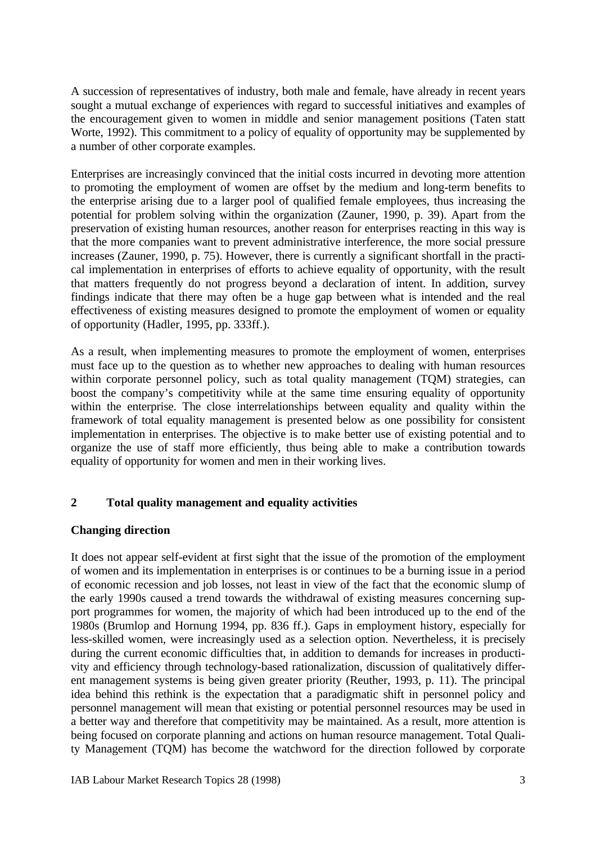A succession of representatives of industry, both male and female, have already in recent years sought a mutual exchange of experiences with regard to successful initiatives and examples of the encouragement given to women in middle and senior management positions (Taten statt Worte, 1992). This commitment to a policy of equality of opportunity may be supplemented by a number of other corporate examples.

Enterprises are increasingly convinced that the initial costs incurred in devoting more attention to promoting the employment of women are offset by the medium and long-term benefits to the enterprise arising due to a larger pool of qualified female employees, thus increasing the potential for problem solving within the organization (Zauner, 1990, p. 39). Apart from the preservation of existing human resources, another reason for enterprises reacting in this way is that the more companies want to prevent administrative interference, the more social pressure increases (Zauner, 1990, p. 75). However, there is currently a significant shortfall in the practical implementation in enterprises of efforts to achieve equality of opportunity, with the result that matters frequently do not progress beyond a declaration of intent. In addition, survey findings indicate that there may often be a huge gap between what is intended and the real effectiveness of existing measures designed to promote the employment of women or equality of opportunity (Hadler, 1995, pp. 333ff.).

As a result, when implementing measures to promote the employment of women, enterprises must face up to the question as to whether new approaches to dealing with human resources within corporate personnel policy, such as total quality management (TQM) strategies, can boost the company's competitivity while at the same time ensuring equality of opportunity within the enterprise. The close interrelationships between equality and quality within the framework of total equality management is presented below as one possibility for consistent implementation in enterprises. The objective is to make better use of existing potential and to organize the use of staff more efficiently, thus being able to make a contribution towards equality of opportunity for women and men in their working lives.

# **2 Total quality management and equality activities**

#### **Changing direction**

It does not appear self-evident at first sight that the issue of the promotion of the employment of women and its implementation in enterprises is or continues to be a burning issue in a period of economic recession and job losses, not least in view of the fact that the economic slump of the early 1990s caused a trend towards the withdrawal of existing measures concerning support programmes for women, the majority of which had been introduced up to the end of the 1980s (Brumlop and Hornung 1994, pp. 836 ff.). Gaps in employment history, especially for less-skilled women, were increasingly used as a selection option. Nevertheless, it is precisely during the current economic difficulties that, in addition to demands for increases in productivity and efficiency through technology-based rationalization, discussion of qualitatively different management systems is being given greater priority (Reuther, 1993, p. 11). The principal idea behind this rethink is the expectation that a paradigmatic shift in personnel policy and personnel management will mean that existing or potential personnel resources may be used in a better way and therefore that competitivity may be maintained. As a result, more attention is being focused on corporate planning and actions on human resource management. Total Quality Management (TQM) has become the watchword for the direction followed by corporate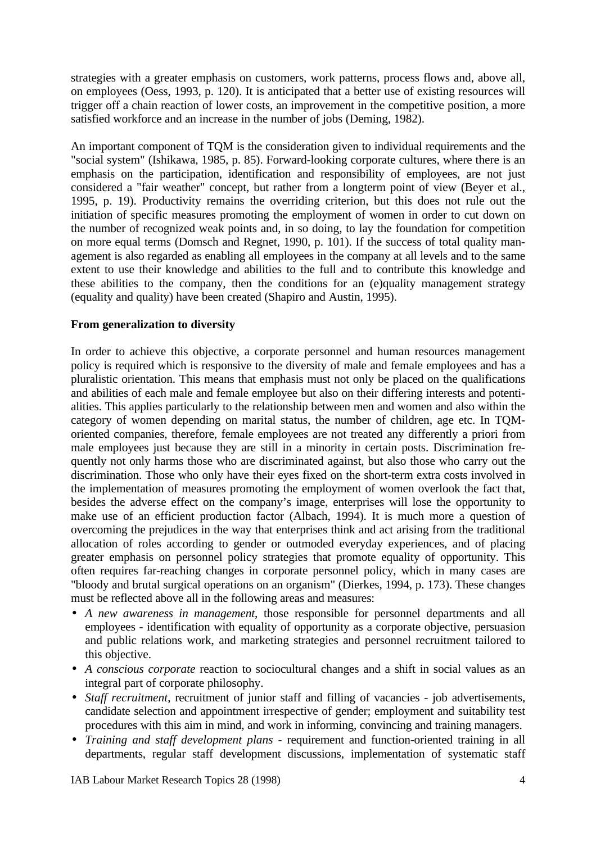strategies with a greater emphasis on customers, work patterns, process flows and, above all, on employees (Oess, 1993, p. 120). It is anticipated that a better use of existing resources will trigger off a chain reaction of lower costs, an improvement in the competitive position, a more satisfied workforce and an increase in the number of jobs (Deming, 1982).

An important component of TQM is the consideration given to individual requirements and the "social system" (Ishikawa, 1985, p. 85). Forward-looking corporate cultures, where there is an emphasis on the participation, identification and responsibility of employees, are not just considered a "fair weather" concept, but rather from a longterm point of view (Beyer et al., 1995, p. 19). Productivity remains the overriding criterion, but this does not rule out the initiation of specific measures promoting the employment of women in order to cut down on the number of recognized weak points and, in so doing, to lay the foundation for competition on more equal terms (Domsch and Regnet, 1990, p. 101). If the success of total quality management is also regarded as enabling all employees in the company at all levels and to the same extent to use their knowledge and abilities to the full and to contribute this knowledge and these abilities to the company, then the conditions for an (e)quality management strategy (equality and quality) have been created (Shapiro and Austin, 1995).

# **From generalization to diversity**

In order to achieve this objective, a corporate personnel and human resources management policy is required which is responsive to the diversity of male and female employees and has a pluralistic orientation. This means that emphasis must not only be placed on the qualifications and abilities of each male and female employee but also on their differing interests and potentialities. This applies particularly to the relationship between men and women and also within the category of women depending on marital status, the number of children, age etc. In TQMoriented companies, therefore, female employees are not treated any differently a priori from male employees just because they are still in a minority in certain posts. Discrimination frequently not only harms those who are discriminated against, but also those who carry out the discrimination. Those who only have their eyes fixed on the short-term extra costs involved in the implementation of measures promoting the employment of women overlook the fact that, besides the adverse effect on the company's image, enterprises will lose the opportunity to make use of an efficient production factor (Albach, 1994). It is much more a question of overcoming the prejudices in the way that enterprises think and act arising from the traditional allocation of roles according to gender or outmoded everyday experiences, and of placing greater emphasis on personnel policy strategies that promote equality of opportunity. This often requires far-reaching changes in corporate personnel policy, which in many cases are "bloody and brutal surgical operations on an organism" (Dierkes, 1994, p. 173). These changes must be reflected above all in the following areas and measures:

- *A new awareness in management*, those responsible for personnel departments and all employees - identification with equality of opportunity as a corporate objective, persuasion and public relations work, and marketing strategies and personnel recruitment tailored to this objective.
- *A conscious corporate* reaction to sociocultural changes and a shift in social values as an integral part of corporate philosophy.
- *Staff recruitment*, recruitment of junior staff and filling of vacancies job advertisements, candidate selection and appointment irrespective of gender; employment and suitability test procedures with this aim in mind, and work in informing, convincing and training managers.
- *Training and staff development plans* requirement and function-oriented training in all departments, regular staff development discussions, implementation of systematic staff

IAB Labour Market Research Topics 28 (1998) 4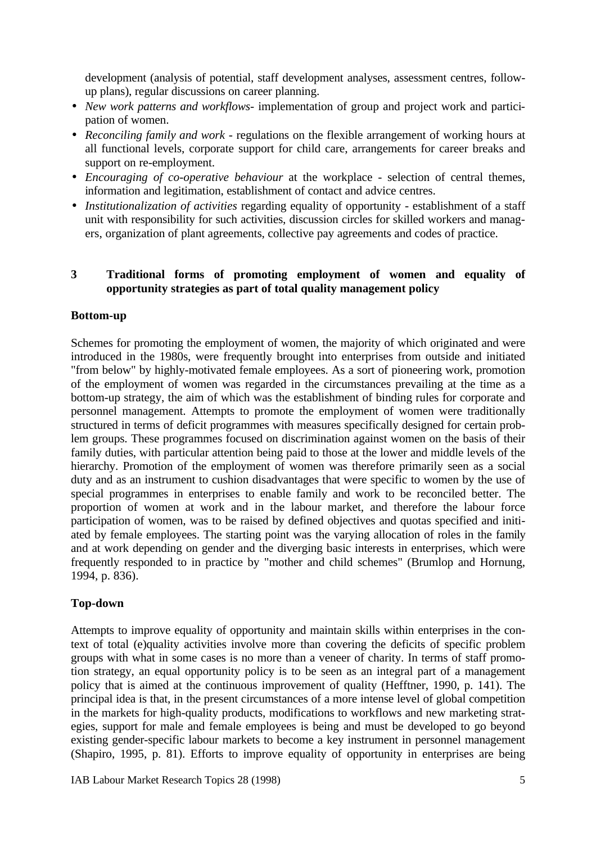development (analysis of potential, staff development analyses, assessment centres, followup plans), regular discussions on career planning.

- *New work patterns and workflows* implementation of group and project work and participation of women.
- *Reconciling family and work* regulations on the flexible arrangement of working hours at all functional levels, corporate support for child care, arrangements for career breaks and support on re-employment.
- *Encouraging of co-operative behaviour* at the workplace selection of central themes, information and legitimation, establishment of contact and advice centres.
- *Institutionalization of activities* regarding equality of opportunity establishment of a staff unit with responsibility for such activities, discussion circles for skilled workers and managers, organization of plant agreements, collective pay agreements and codes of practice.

# **3 Traditional forms of promoting employment of women and equality of opportunity strategies as part of total quality management policy**

# **Bottom-up**

Schemes for promoting the employment of women, the majority of which originated and were introduced in the 1980s, were frequently brought into enterprises from outside and initiated "from below" by highly-motivated female employees. As a sort of pioneering work, promotion of the employment of women was regarded in the circumstances prevailing at the time as a bottom-up strategy, the aim of which was the establishment of binding rules for corporate and personnel management. Attempts to promote the employment of women were traditionally structured in terms of deficit programmes with measures specifically designed for certain problem groups. These programmes focused on discrimination against women on the basis of their family duties, with particular attention being paid to those at the lower and middle levels of the hierarchy. Promotion of the employment of women was therefore primarily seen as a social duty and as an instrument to cushion disadvantages that were specific to women by the use of special programmes in enterprises to enable family and work to be reconciled better. The proportion of women at work and in the labour market, and therefore the labour force participation of women, was to be raised by defined objectives and quotas specified and initiated by female employees. The starting point was the varying allocation of roles in the family and at work depending on gender and the diverging basic interests in enterprises, which were frequently responded to in practice by "mother and child schemes" (Brumlop and Hornung, 1994, p. 836).

#### **Top-down**

Attempts to improve equality of opportunity and maintain skills within enterprises in the context of total (e)quality activities involve more than covering the deficits of specific problem groups with what in some cases is no more than a veneer of charity. In terms of staff promotion strategy, an equal opportunity policy is to be seen as an integral part of a management policy that is aimed at the continuous improvement of quality (Hefftner, 1990, p. 141). The principal idea is that, in the present circumstances of a more intense level of global competition in the markets for high-quality products, modifications to workflows and new marketing strategies, support for male and female employees is being and must be developed to go beyond existing gender-specific labour markets to become a key instrument in personnel management (Shapiro, 1995, p. 81). Efforts to improve equality of opportunity in enterprises are being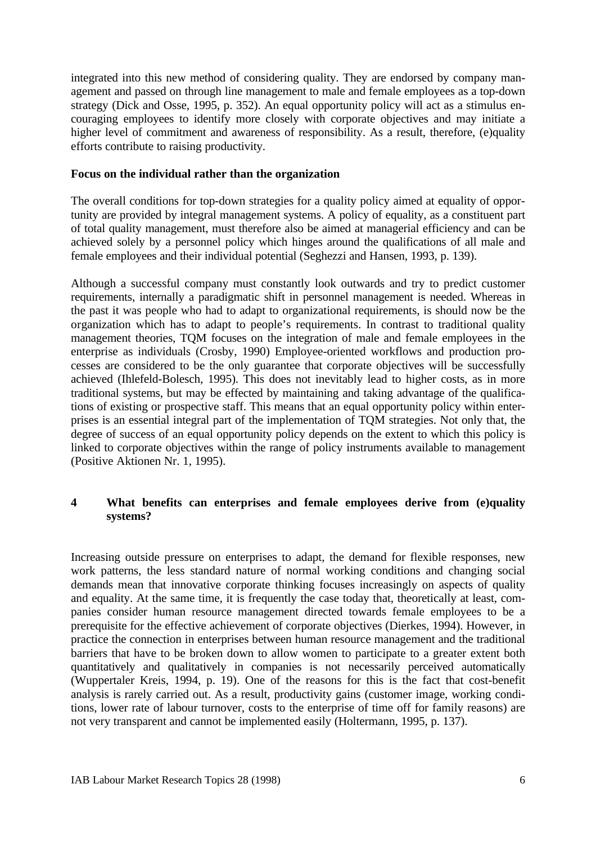integrated into this new method of considering quality. They are endorsed by company management and passed on through line management to male and female employees as a top-down strategy (Dick and Osse, 1995, p. 352). An equal opportunity policy will act as a stimulus encouraging employees to identify more closely with corporate objectives and may initiate a higher level of commitment and awareness of responsibility. As a result, therefore, (e)quality efforts contribute to raising productivity.

#### **Focus on the individual rather than the organization**

The overall conditions for top-down strategies for a quality policy aimed at equality of opportunity are provided by integral management systems. A policy of equality, as a constituent part of total quality management, must therefore also be aimed at managerial efficiency and can be achieved solely by a personnel policy which hinges around the qualifications of all male and female employees and their individual potential (Seghezzi and Hansen, 1993, p. 139).

Although a successful company must constantly look outwards and try to predict customer requirements, internally a paradigmatic shift in personnel management is needed. Whereas in the past it was people who had to adapt to organizational requirements, is should now be the organization which has to adapt to people's requirements. In contrast to traditional quality management theories, TQM focuses on the integration of male and female employees in the enterprise as individuals (Crosby, 1990) Employee-oriented workflows and production processes are considered to be the only guarantee that corporate objectives will be successfully achieved (Ihlefeld-Bolesch, 1995). This does not inevitably lead to higher costs, as in more traditional systems, but may be effected by maintaining and taking advantage of the qualifications of existing or prospective staff. This means that an equal opportunity policy within enterprises is an essential integral part of the implementation of TQM strategies. Not only that, the degree of success of an equal opportunity policy depends on the extent to which this policy is linked to corporate objectives within the range of policy instruments available to management (Positive Aktionen Nr. 1, 1995).

# **4 What benefits can enterprises and female employees derive from (e)quality systems?**

Increasing outside pressure on enterprises to adapt, the demand for flexible responses, new work patterns, the less standard nature of normal working conditions and changing social demands mean that innovative corporate thinking focuses increasingly on aspects of quality and equality. At the same time, it is frequently the case today that, theoretically at least, companies consider human resource management directed towards female employees to be a prerequisite for the effective achievement of corporate objectives (Dierkes, 1994). However, in practice the connection in enterprises between human resource management and the traditional barriers that have to be broken down to allow women to participate to a greater extent both quantitatively and qualitatively in companies is not necessarily perceived automatically (Wuppertaler Kreis, 1994, p. 19). One of the reasons for this is the fact that cost-benefit analysis is rarely carried out. As a result, productivity gains (customer image, working conditions, lower rate of labour turnover, costs to the enterprise of time off for family reasons) are not very transparent and cannot be implemented easily (Holtermann, 1995, p. 137).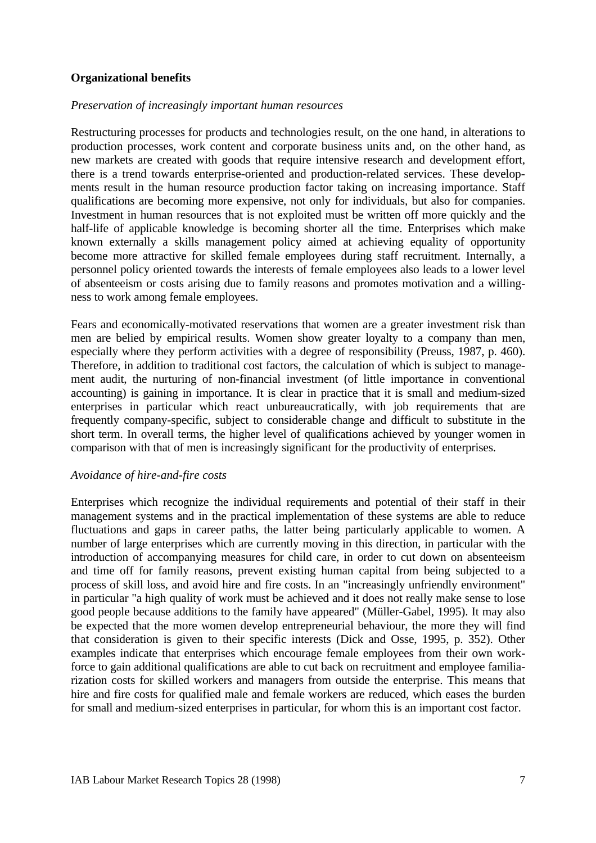# **Organizational benefits**

#### *Preservation of increasingly important human resources*

Restructuring processes for products and technologies result, on the one hand, in alterations to production processes, work content and corporate business units and, on the other hand, as new markets are created with goods that require intensive research and development effort, there is a trend towards enterprise-oriented and production-related services. These developments result in the human resource production factor taking on increasing importance. Staff qualifications are becoming more expensive, not only for individuals, but also for companies. Investment in human resources that is not exploited must be written off more quickly and the half-life of applicable knowledge is becoming shorter all the time. Enterprises which make known externally a skills management policy aimed at achieving equality of opportunity become more attractive for skilled female employees during staff recruitment. Internally, a personnel policy oriented towards the interests of female employees also leads to a lower level of absenteeism or costs arising due to family reasons and promotes motivation and a willingness to work among female employees.

Fears and economically-motivated reservations that women are a greater investment risk than men are belied by empirical results. Women show greater loyalty to a company than men, especially where they perform activities with a degree of responsibility (Preuss, 1987, p. 460). Therefore, in addition to traditional cost factors, the calculation of which is subject to management audit, the nurturing of non-financial investment (of little importance in conventional accounting) is gaining in importance. It is clear in practice that it is small and medium-sized enterprises in particular which react unbureaucratically, with job requirements that are frequently company-specific, subject to considerable change and difficult to substitute in the short term. In overall terms, the higher level of qualifications achieved by younger women in comparison with that of men is increasingly significant for the productivity of enterprises.

#### *Avoidance of hire-and-fire costs*

Enterprises which recognize the individual requirements and potential of their staff in their management systems and in the practical implementation of these systems are able to reduce fluctuations and gaps in career paths, the latter being particularly applicable to women. A number of large enterprises which are currently moving in this direction, in particular with the introduction of accompanying measures for child care, in order to cut down on absenteeism and time off for family reasons, prevent existing human capital from being subjected to a process of skill loss, and avoid hire and fire costs. In an "increasingly unfriendly environment" in particular "a high quality of work must be achieved and it does not really make sense to lose good people because additions to the family have appeared" (Müller-Gabel, 1995). It may also be expected that the more women develop entrepreneurial behaviour, the more they will find that consideration is given to their specific interests (Dick and Osse, 1995, p. 352). Other examples indicate that enterprises which encourage female employees from their own workforce to gain additional qualifications are able to cut back on recruitment and employee familiarization costs for skilled workers and managers from outside the enterprise. This means that hire and fire costs for qualified male and female workers are reduced, which eases the burden for small and medium-sized enterprises in particular, for whom this is an important cost factor.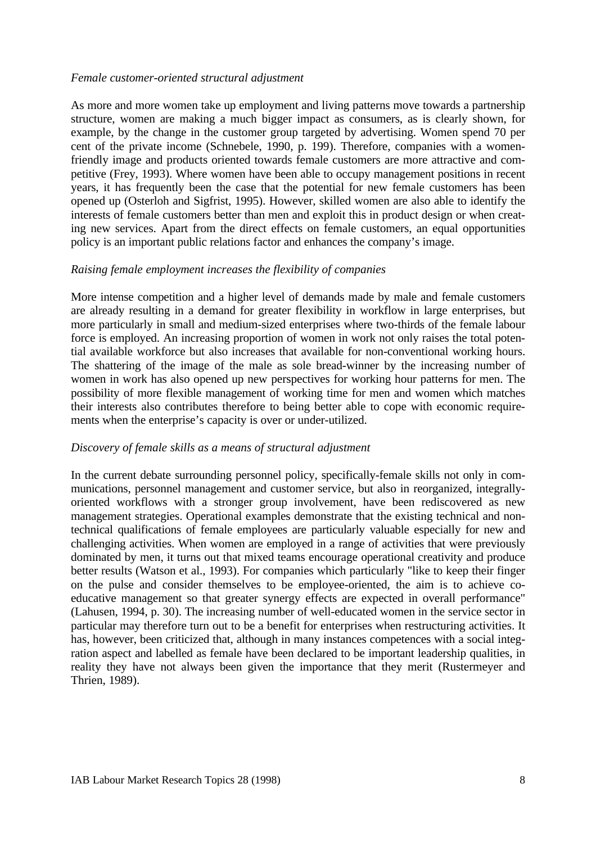#### *Female customer-oriented structural adjustment*

As more and more women take up employment and living patterns move towards a partnership structure, women are making a much bigger impact as consumers, as is clearly shown, for example, by the change in the customer group targeted by advertising. Women spend 70 per cent of the private income (Schnebele, 1990, p. 199). Therefore, companies with a womenfriendly image and products oriented towards female customers are more attractive and competitive (Frey, 1993). Where women have been able to occupy management positions in recent years, it has frequently been the case that the potential for new female customers has been opened up (Osterloh and Sigfrist, 1995). However, skilled women are also able to identify the interests of female customers better than men and exploit this in product design or when creating new services. Apart from the direct effects on female customers, an equal opportunities policy is an important public relations factor and enhances the company's image.

#### *Raising female employment increases the flexibility of companies*

More intense competition and a higher level of demands made by male and female customers are already resulting in a demand for greater flexibility in workflow in large enterprises, but more particularly in small and medium-sized enterprises where two-thirds of the female labour force is employed. An increasing proportion of women in work not only raises the total potential available workforce but also increases that available for non-conventional working hours. The shattering of the image of the male as sole bread-winner by the increasing number of women in work has also opened up new perspectives for working hour patterns for men. The possibility of more flexible management of working time for men and women which matches their interests also contributes therefore to being better able to cope with economic requirements when the enterprise's capacity is over or under-utilized.

#### *Discovery of female skills as a means of structural adjustment*

In the current debate surrounding personnel policy, specifically-female skills not only in communications, personnel management and customer service, but also in reorganized, integrallyoriented workflows with a stronger group involvement, have been rediscovered as new management strategies. Operational examples demonstrate that the existing technical and nontechnical qualifications of female employees are particularly valuable especially for new and challenging activities. When women are employed in a range of activities that were previously dominated by men, it turns out that mixed teams encourage operational creativity and produce better results (Watson et al., 1993). For companies which particularly "like to keep their finger on the pulse and consider themselves to be employee-oriented, the aim is to achieve coeducative management so that greater synergy effects are expected in overall performance" (Lahusen, 1994, p. 30). The increasing number of well-educated women in the service sector in particular may therefore turn out to be a benefit for enterprises when restructuring activities. It has, however, been criticized that, although in many instances competences with a social integration aspect and labelled as female have been declared to be important leadership qualities, in reality they have not always been given the importance that they merit (Rustermeyer and Thrien, 1989).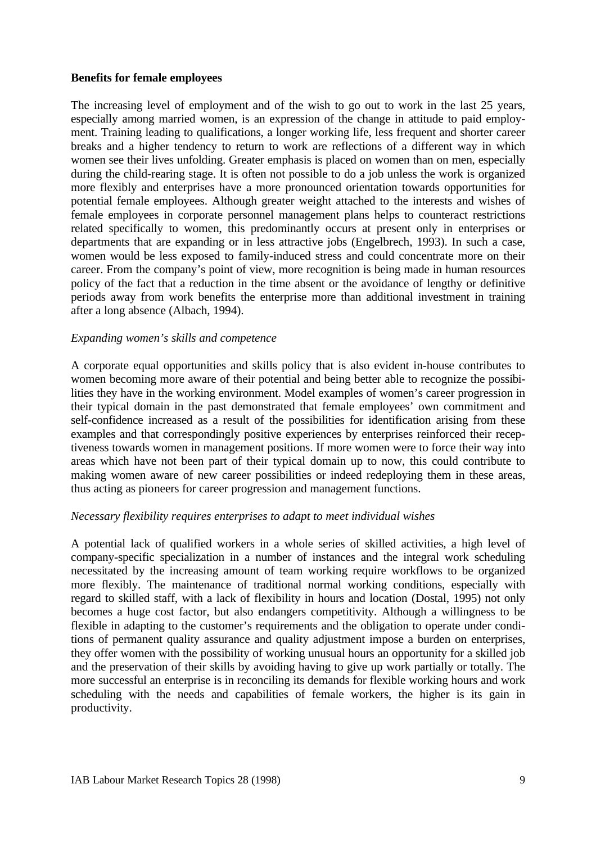#### **Benefits for female employees**

The increasing level of employment and of the wish to go out to work in the last 25 years, especially among married women, is an expression of the change in attitude to paid employment. Training leading to qualifications, a longer working life, less frequent and shorter career breaks and a higher tendency to return to work are reflections of a different way in which women see their lives unfolding. Greater emphasis is placed on women than on men, especially during the child-rearing stage. It is often not possible to do a job unless the work is organized more flexibly and enterprises have a more pronounced orientation towards opportunities for potential female employees. Although greater weight attached to the interests and wishes of female employees in corporate personnel management plans helps to counteract restrictions related specifically to women, this predominantly occurs at present only in enterprises or departments that are expanding or in less attractive jobs (Engelbrech, 1993). In such a case, women would be less exposed to family-induced stress and could concentrate more on their career. From the company's point of view, more recognition is being made in human resources policy of the fact that a reduction in the time absent or the avoidance of lengthy or definitive periods away from work benefits the enterprise more than additional investment in training after a long absence (Albach, 1994).

# *Expanding women's skills and competence*

A corporate equal opportunities and skills policy that is also evident in-house contributes to women becoming more aware of their potential and being better able to recognize the possibilities they have in the working environment. Model examples of women's career progression in their typical domain in the past demonstrated that female employees' own commitment and self-confidence increased as a result of the possibilities for identification arising from these examples and that correspondingly positive experiences by enterprises reinforced their receptiveness towards women in management positions. If more women were to force their way into areas which have not been part of their typical domain up to now, this could contribute to making women aware of new career possibilities or indeed redeploying them in these areas, thus acting as pioneers for career progression and management functions.

#### *Necessary flexibility requires enterprises to adapt to meet individual wishes*

A potential lack of qualified workers in a whole series of skilled activities, a high level of company-specific specialization in a number of instances and the integral work scheduling necessitated by the increasing amount of team working require workflows to be organized more flexibly. The maintenance of traditional normal working conditions, especially with regard to skilled staff, with a lack of flexibility in hours and location (Dostal, 1995) not only becomes a huge cost factor, but also endangers competitivity. Although a willingness to be flexible in adapting to the customer's requirements and the obligation to operate under conditions of permanent quality assurance and quality adjustment impose a burden on enterprises, they offer women with the possibility of working unusual hours an opportunity for a skilled job and the preservation of their skills by avoiding having to give up work partially or totally. The more successful an enterprise is in reconciling its demands for flexible working hours and work scheduling with the needs and capabilities of female workers, the higher is its gain in productivity.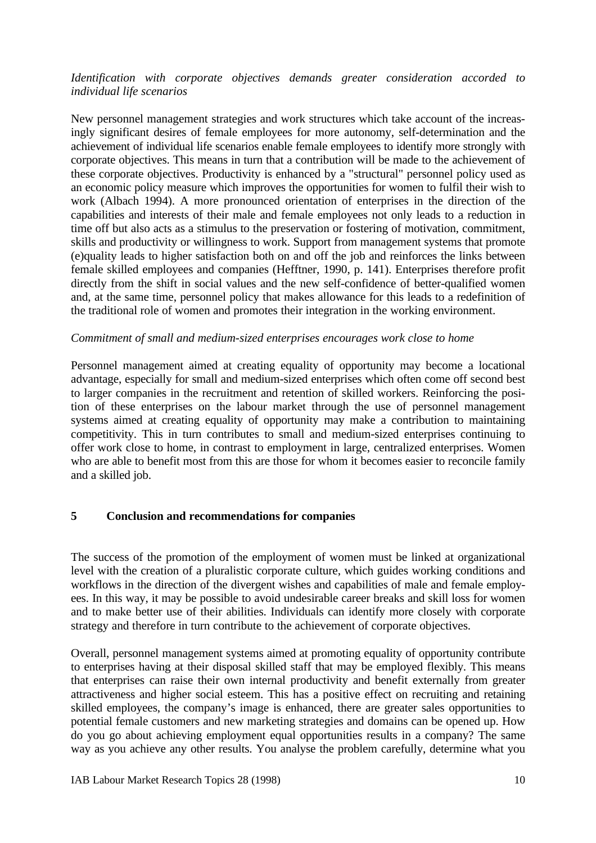## *Identification with corporate objectives demands greater consideration accorded to individual life scenarios*

New personnel management strategies and work structures which take account of the increasingly significant desires of female employees for more autonomy, self-determination and the achievement of individual life scenarios enable female employees to identify more strongly with corporate objectives. This means in turn that a contribution will be made to the achievement of these corporate objectives. Productivity is enhanced by a "structural" personnel policy used as an economic policy measure which improves the opportunities for women to fulfil their wish to work (Albach 1994). A more pronounced orientation of enterprises in the direction of the capabilities and interests of their male and female employees not only leads to a reduction in time off but also acts as a stimulus to the preservation or fostering of motivation, commitment, skills and productivity or willingness to work. Support from management systems that promote (e)quality leads to higher satisfaction both on and off the job and reinforces the links between female skilled employees and companies (Hefftner, 1990, p. 141). Enterprises therefore profit directly from the shift in social values and the new self-confidence of better-qualified women and, at the same time, personnel policy that makes allowance for this leads to a redefinition of the traditional role of women and promotes their integration in the working environment.

#### *Commitment of small and medium-sized enterprises encourages work close to home*

Personnel management aimed at creating equality of opportunity may become a locational advantage, especially for small and medium-sized enterprises which often come off second best to larger companies in the recruitment and retention of skilled workers. Reinforcing the position of these enterprises on the labour market through the use of personnel management systems aimed at creating equality of opportunity may make a contribution to maintaining competitivity. This in turn contributes to small and medium-sized enterprises continuing to offer work close to home, in contrast to employment in large, centralized enterprises. Women who are able to benefit most from this are those for whom it becomes easier to reconcile family and a skilled job.

# **5 Conclusion and recommendations for companies**

The success of the promotion of the employment of women must be linked at organizational level with the creation of a pluralistic corporate culture, which guides working conditions and workflows in the direction of the divergent wishes and capabilities of male and female employees. In this way, it may be possible to avoid undesirable career breaks and skill loss for women and to make better use of their abilities. Individuals can identify more closely with corporate strategy and therefore in turn contribute to the achievement of corporate objectives.

Overall, personnel management systems aimed at promoting equality of opportunity contribute to enterprises having at their disposal skilled staff that may be employed flexibly. This means that enterprises can raise their own internal productivity and benefit externally from greater attractiveness and higher social esteem. This has a positive effect on recruiting and retaining skilled employees, the company's image is enhanced, there are greater sales opportunities to potential female customers and new marketing strategies and domains can be opened up. How do you go about achieving employment equal opportunities results in a company? The same way as you achieve any other results. You analyse the problem carefully, determine what you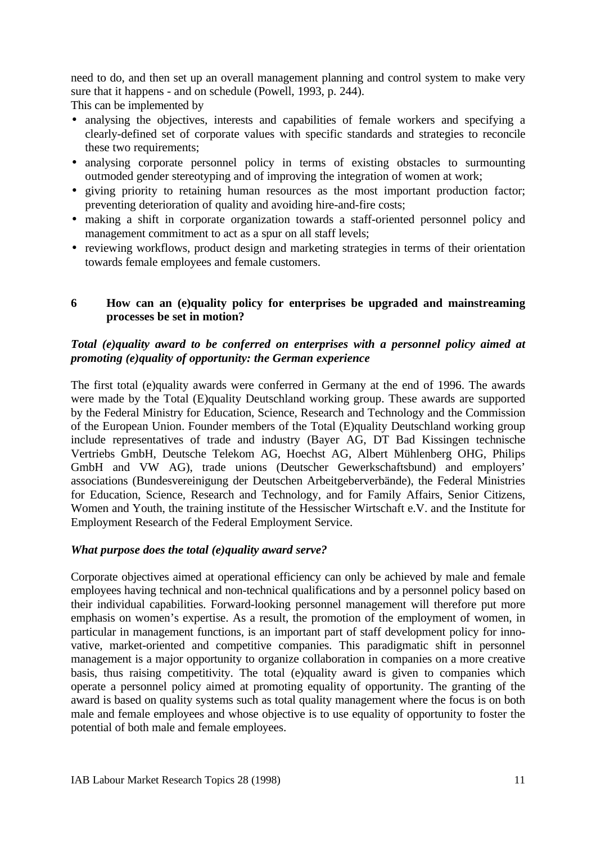need to do, and then set up an overall management planning and control system to make very sure that it happens - and on schedule (Powell, 1993, p. 244).

This can be implemented by

- analysing the objectives, interests and capabilities of female workers and specifying a clearly-defined set of corporate values with specific standards and strategies to reconcile these two requirements;
- analysing corporate personnel policy in terms of existing obstacles to surmounting outmoded gender stereotyping and of improving the integration of women at work;
- giving priority to retaining human resources as the most important production factor; preventing deterioration of quality and avoiding hire-and-fire costs;
- making a shift in corporate organization towards a staff-oriented personnel policy and management commitment to act as a spur on all staff levels;
- reviewing workflows, product design and marketing strategies in terms of their orientation towards female employees and female customers.

# **6 How can an (e)quality policy for enterprises be upgraded and mainstreaming processes be set in motion?**

# *Total (e)quality award to be conferred on enterprises with a personnel policy aimed at promoting (e)quality of opportunity: the German experience*

The first total (e)quality awards were conferred in Germany at the end of 1996. The awards were made by the Total (E)quality Deutschland working group. These awards are supported by the Federal Ministry for Education, Science, Research and Technology and the Commission of the European Union. Founder members of the Total (E)quality Deutschland working group include representatives of trade and industry (Bayer AG, DT Bad Kissingen technische Vertriebs GmbH, Deutsche Telekom AG, Hoechst AG, Albert Mühlenberg OHG, Philips GmbH and VW AG), trade unions (Deutscher Gewerkschaftsbund) and employers' associations (Bundesvereinigung der Deutschen Arbeitgeberverbände), the Federal Ministries for Education, Science, Research and Technology, and for Family Affairs, Senior Citizens, Women and Youth, the training institute of the Hessischer Wirtschaft e.V. and the Institute for Employment Research of the Federal Employment Service.

# *What purpose does the total (e)quality award serve?*

Corporate objectives aimed at operational efficiency can only be achieved by male and female employees having technical and non-technical qualifications and by a personnel policy based on their individual capabilities. Forward-looking personnel management will therefore put more emphasis on women's expertise. As a result, the promotion of the employment of women, in particular in management functions, is an important part of staff development policy for innovative, market-oriented and competitive companies. This paradigmatic shift in personnel management is a major opportunity to organize collaboration in companies on a more creative basis, thus raising competitivity. The total (e)quality award is given to companies which operate a personnel policy aimed at promoting equality of opportunity. The granting of the award is based on quality systems such as total quality management where the focus is on both male and female employees and whose objective is to use equality of opportunity to foster the potential of both male and female employees.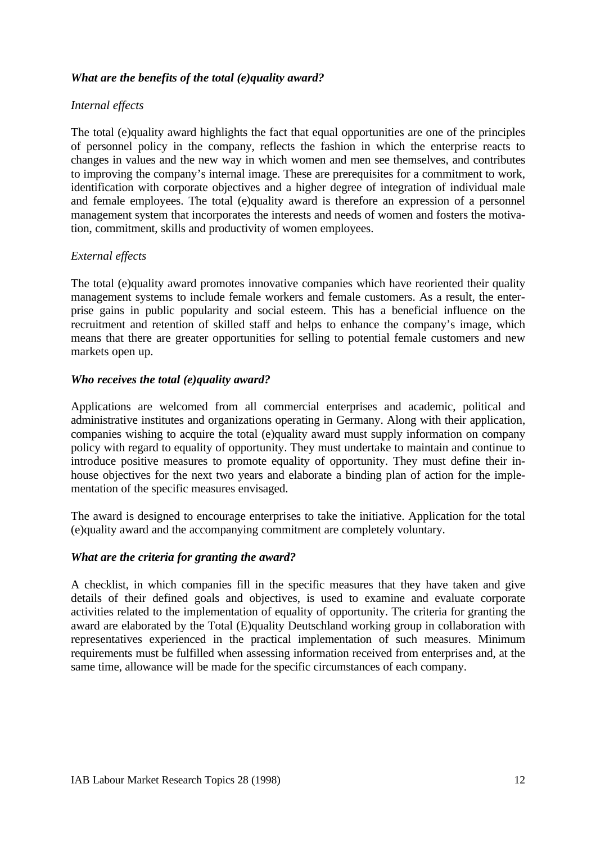# *What are the benefits of the total (e)quality award?*

#### *Internal effects*

The total (e)quality award highlights the fact that equal opportunities are one of the principles of personnel policy in the company, reflects the fashion in which the enterprise reacts to changes in values and the new way in which women and men see themselves, and contributes to improving the company's internal image. These are prerequisites for a commitment to work, identification with corporate objectives and a higher degree of integration of individual male and female employees. The total (e)quality award is therefore an expression of a personnel management system that incorporates the interests and needs of women and fosters the motivation, commitment, skills and productivity of women employees.

# *External effects*

The total (e)quality award promotes innovative companies which have reoriented their quality management systems to include female workers and female customers. As a result, the enterprise gains in public popularity and social esteem. This has a beneficial influence on the recruitment and retention of skilled staff and helps to enhance the company's image, which means that there are greater opportunities for selling to potential female customers and new markets open up.

# *Who receives the total (e)quality award?*

Applications are welcomed from all commercial enterprises and academic, political and administrative institutes and organizations operating in Germany. Along with their application, companies wishing to acquire the total (e)quality award must supply information on company policy with regard to equality of opportunity. They must undertake to maintain and continue to introduce positive measures to promote equality of opportunity. They must define their inhouse objectives for the next two years and elaborate a binding plan of action for the implementation of the specific measures envisaged.

The award is designed to encourage enterprises to take the initiative. Application for the total (e)quality award and the accompanying commitment are completely voluntary.

#### *What are the criteria for granting the award?*

A checklist, in which companies fill in the specific measures that they have taken and give details of their defined goals and objectives, is used to examine and evaluate corporate activities related to the implementation of equality of opportunity. The criteria for granting the award are elaborated by the Total (E)quality Deutschland working group in collaboration with representatives experienced in the practical implementation of such measures. Minimum requirements must be fulfilled when assessing information received from enterprises and, at the same time, allowance will be made for the specific circumstances of each company.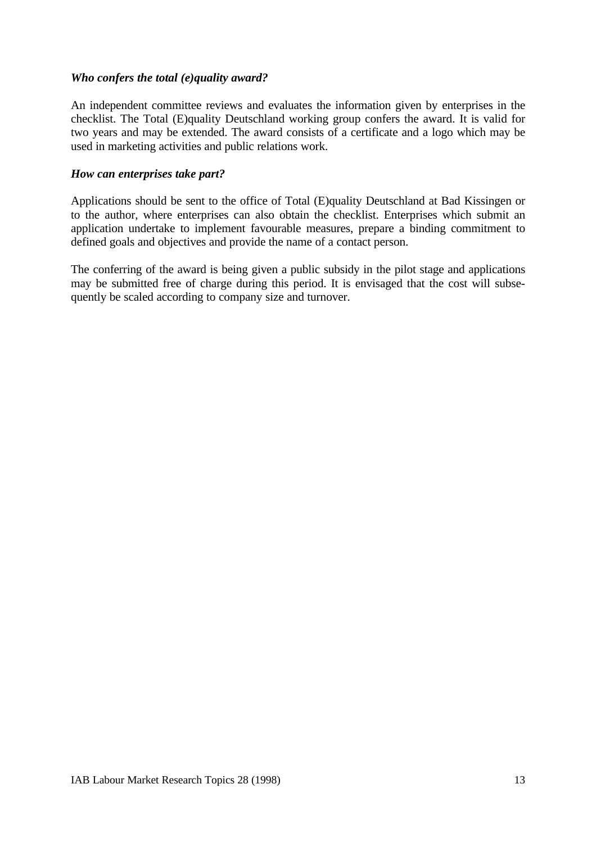# *Who confers the total (e)quality award?*

An independent committee reviews and evaluates the information given by enterprises in the checklist. The Total (E)quality Deutschland working group confers the award. It is valid for two years and may be extended. The award consists of a certificate and a logo which may be used in marketing activities and public relations work.

# *How can enterprises take part?*

Applications should be sent to the office of Total (E)quality Deutschland at Bad Kissingen or to the author, where enterprises can also obtain the checklist. Enterprises which submit an application undertake to implement favourable measures, prepare a binding commitment to defined goals and objectives and provide the name of a contact person.

The conferring of the award is being given a public subsidy in the pilot stage and applications may be submitted free of charge during this period. It is envisaged that the cost will subsequently be scaled according to company size and turnover.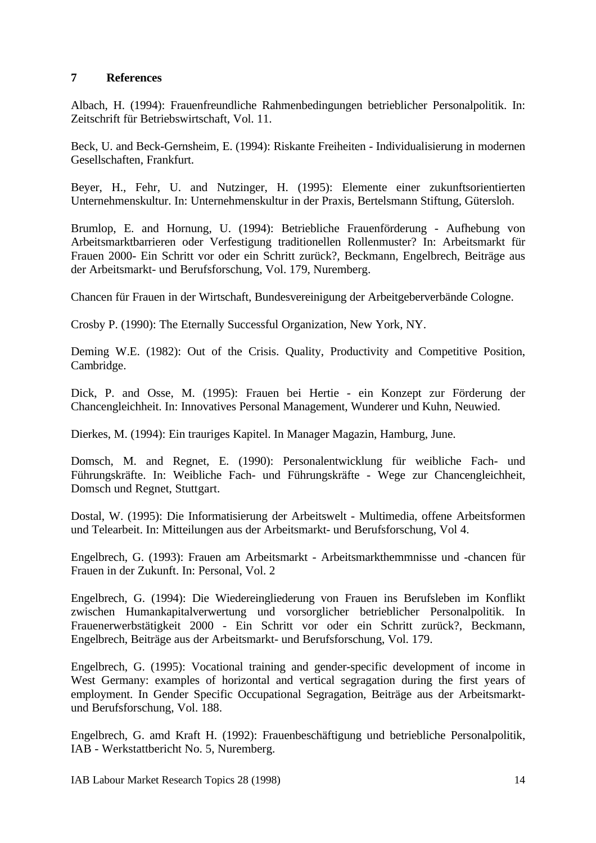# **7 References**

Albach, H. (1994): Frauenfreundliche Rahmenbedingungen betrieblicher Personalpolitik. In: Zeitschrift für Betriebswirtschaft, Vol. 11.

Beck, U. and Beck-Gernsheim, E. (1994): Riskante Freiheiten - Individualisierung in modernen Gesellschaften, Frankfurt.

Beyer, H., Fehr, U. and Nutzinger, H. (1995): Elemente einer zukunftsorientierten Unternehmenskultur. In: Unternehmenskultur in der Praxis, Bertelsmann Stiftung, Gütersloh.

Brumlop, E. and Hornung, U. (1994): Betriebliche Frauenförderung - Aufhebung von Arbeitsmarktbarrieren oder Verfestigung traditionellen Rollenmuster? In: Arbeitsmarkt für Frauen 2000- Ein Schritt vor oder ein Schritt zurück?, Beckmann, Engelbrech, Beiträge aus der Arbeitsmarkt- und Berufsforschung, Vol. 179, Nuremberg.

Chancen für Frauen in der Wirtschaft, Bundesvereinigung der Arbeitgeberverbände Cologne.

Crosby P. (1990): The Eternally Successful Organization, New York, NY.

Deming W.E. (1982): Out of the Crisis. Quality, Productivity and Competitive Position, Cambridge.

Dick, P. and Osse, M. (1995): Frauen bei Hertie - ein Konzept zur Förderung der Chancengleichheit. In: Innovatives Personal Management, Wunderer und Kuhn, Neuwied.

Dierkes, M. (1994): Ein trauriges Kapitel. In Manager Magazin, Hamburg, June.

Domsch, M. and Regnet, E. (1990): Personalentwicklung für weibliche Fach- und Führungskräfte. In: Weibliche Fach- und Führungskräfte - Wege zur Chancengleichheit, Domsch und Regnet, Stuttgart.

Dostal, W. (1995): Die Informatisierung der Arbeitswelt - Multimedia, offene Arbeitsformen und Telearbeit. In: Mitteilungen aus der Arbeitsmarkt- und Berufsforschung, Vol 4.

Engelbrech, G. (1993): Frauen am Arbeitsmarkt - Arbeitsmarkthemmnisse und -chancen für Frauen in der Zukunft. In: Personal, Vol. 2

Engelbrech, G. (1994): Die Wiedereingliederung von Frauen ins Berufsleben im Konflikt zwischen Humankapitalverwertung und vorsorglicher betrieblicher Personalpolitik. In Frauenerwerbstätigkeit 2000 - Ein Schritt vor oder ein Schritt zurück?, Beckmann, Engelbrech, Beiträge aus der Arbeitsmarkt- und Berufsforschung, Vol. 179.

Engelbrech, G. (1995): Vocational training and gender-specific development of income in West Germany: examples of horizontal and vertical segragation during the first years of employment. In Gender Specific Occupational Segragation, Beiträge aus der Arbeitsmarktund Berufsforschung, Vol. 188.

Engelbrech, G. amd Kraft H. (1992): Frauenbeschäftigung und betriebliche Personalpolitik, IAB - Werkstattbericht No. 5, Nuremberg.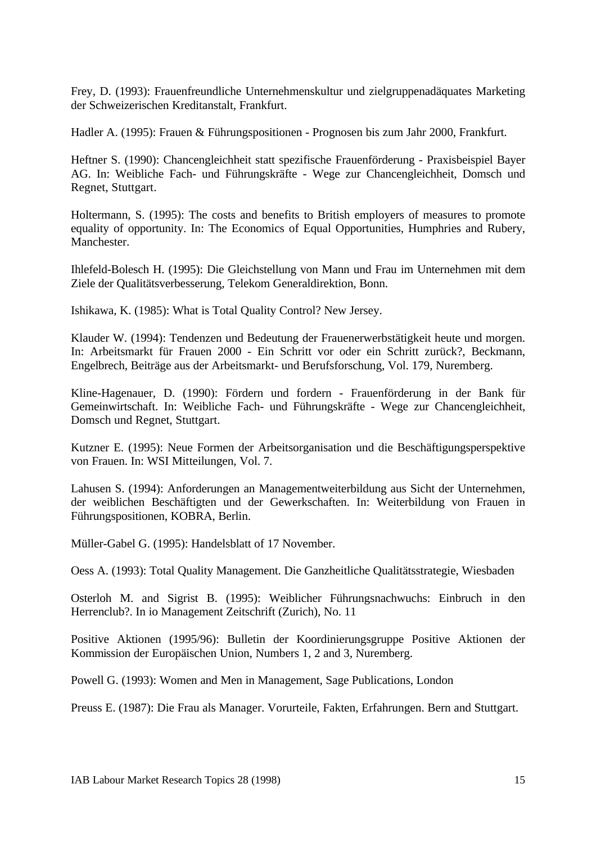Frey, D. (1993): Frauenfreundliche Unternehmenskultur und zielgruppenadäquates Marketing der Schweizerischen Kreditanstalt, Frankfurt.

Hadler A. (1995): Frauen & Führungspositionen - Prognosen bis zum Jahr 2000, Frankfurt.

Heftner S. (1990): Chancengleichheit statt spezifische Frauenförderung - Praxisbeispiel Bayer AG. In: Weibliche Fach- und Führungskräfte - Wege zur Chancengleichheit, Domsch und Regnet, Stuttgart.

Holtermann, S. (1995): The costs and benefits to British employers of measures to promote equality of opportunity. In: The Economics of Equal Opportunities, Humphries and Rubery, Manchester.

Ihlefeld-Bolesch H. (1995): Die Gleichstellung von Mann und Frau im Unternehmen mit dem Ziele der Qualitätsverbesserung, Telekom Generaldirektion, Bonn.

Ishikawa, K. (1985): What is Total Quality Control? New Jersey.

Klauder W. (1994): Tendenzen und Bedeutung der Frauenerwerbstätigkeit heute und morgen. In: Arbeitsmarkt für Frauen 2000 - Ein Schritt vor oder ein Schritt zurück?, Beckmann, Engelbrech, Beiträge aus der Arbeitsmarkt- und Berufsforschung, Vol. 179, Nuremberg.

Kline-Hagenauer, D. (1990): Fördern und fordern - Frauenförderung in der Bank für Gemeinwirtschaft. In: Weibliche Fach- und Führungskräfte - Wege zur Chancengleichheit, Domsch und Regnet, Stuttgart.

Kutzner E. (1995): Neue Formen der Arbeitsorganisation und die Beschäftigungsperspektive von Frauen. In: WSI Mitteilungen, Vol. 7.

Lahusen S. (1994): Anforderungen an Managementweiterbildung aus Sicht der Unternehmen, der weiblichen Beschäftigten und der Gewerkschaften. In: Weiterbildung von Frauen in Führungspositionen, KOBRA, Berlin.

Müller-Gabel G. (1995): Handelsblatt of 17 November.

Oess A. (1993): Total Quality Management. Die Ganzheitliche Qualitätsstrategie, Wiesbaden

Osterloh M. and Sigrist B. (1995): Weiblicher Führungsnachwuchs: Einbruch in den Herrenclub?. In io Management Zeitschrift (Zurich), No. 11

Positive Aktionen (1995/96): Bulletin der Koordinierungsgruppe Positive Aktionen der Kommission der Europäischen Union, Numbers 1, 2 and 3, Nuremberg.

Powell G. (1993): Women and Men in Management, Sage Publications, London

Preuss E. (1987): Die Frau als Manager. Vorurteile, Fakten, Erfahrungen. Bern and Stuttgart.